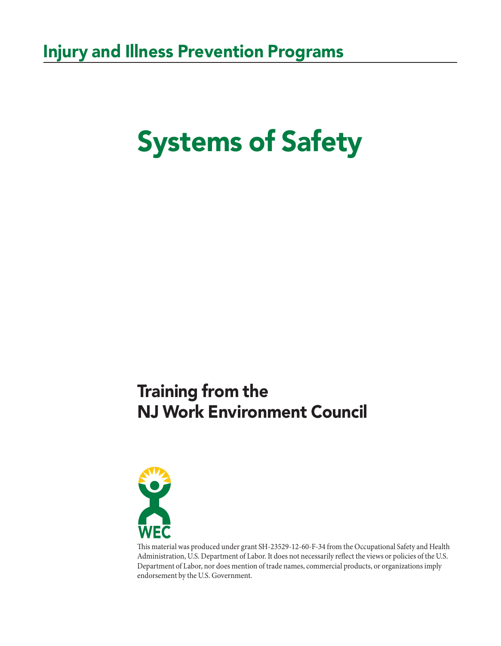# Systems of Safety

# Training from the NJ Work Environment Council



This material was produced under grant SH-23529-12-60-F-34 from the Occupational Safety and Health Administration, U.S. Department of Labor. It does not necessarily reflect the views or policies of the U.S. Department of Labor, nor does mention of trade names, commercial products, or organizations imply endorsement by the U.S. Government.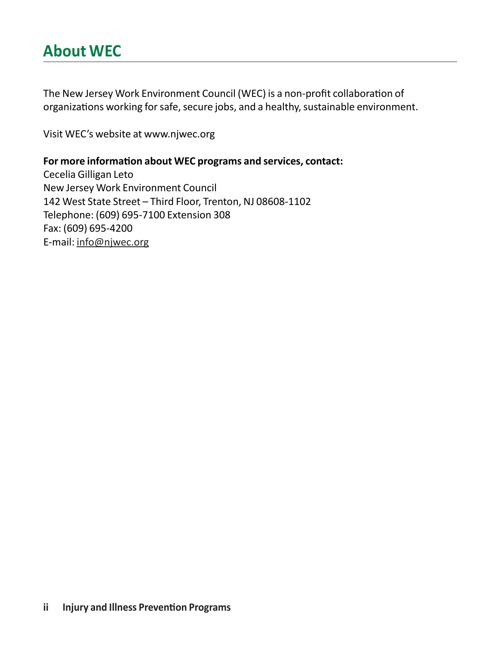## **About WEC**

The New Jersey Work Environment Council (WEC) is a non-profit collaboration of organizations working for safe, secure jobs, and a healthy, sustainable environment.

Visit WEC's website at www.njwec.org

**For more information about WEC programs and services, contact:**

Cecelia Gilligan Leto New Jersey Work Environment Council 142 West State Street – Third Floor, Trenton, NJ 08608-1102 Telephone: (609) 695-7100 Extension 308 Fax: (609) 695-4200 E-mail: info@njwec.org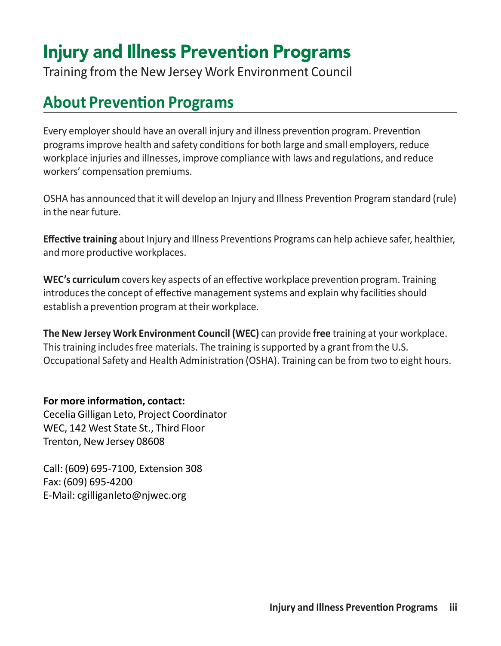# Injury and Illness Prevention Programs

Training from the New Jersey Work Environment Council

## **About Prevention Programs**

Every employer should have an overall injury and illness prevention program. Prevention programs improve health and safety conditions for both large and small employers, reduce workplace injuries and illnesses, improve compliance with laws and regulations, and reduce workers' compensation premiums.

OSHA has announced that it will develop an Injury and Illness Prevention Program standard (rule) in the near future.

**Effective training** about Injury and Illness Preventions Programs can help achieve safer, healthier, and more productive workplaces.

**WEC's curriculum** covers key aspects of an effective workplace prevention program. Training introduces the concept of effective management systems and explain why facilities should establish a prevention program at their workplace.

**The New Jersey Work Environment Council (WEC)** can provide **free** training at your workplace. This training includes free materials. The training is supported by a grant from the U.S. Occupational Safety and Health Administration (OSHA). Training can be from two to eight hours.

#### **For more information, contact:**

Cecelia Gilligan Leto, Project Coordinator WEC, 142 West State St., Third Floor Trenton, New Jersey 08608

Call: (609) 695-7100, Extension 308 Fax: (609) 695-4200 E-Mail: cgilliganleto@njwec.org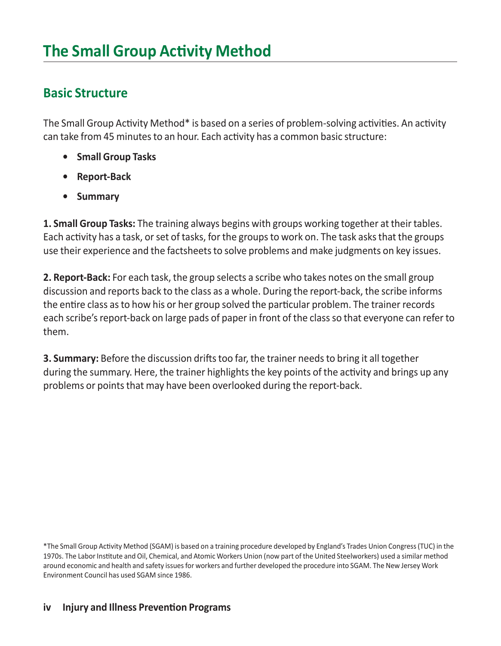#### **Basic Structure**

The Small Group Activity Method\* is based on a series of problem-solving activities. An activity can take from 45 minutes to an hour. Each activity has a common basic structure:

- **• Small Group Tasks**
- **• Report-Back**
- **• Summary**

**1. Small Group Tasks:** The training always begins with groups working together at their tables. Each activity has a task, or set of tasks, for the groups to work on. The task asks that the groups use their experience and the factsheets to solve problems and make judgments on key issues.

**2. Report-Back:** For each task, the group selects a scribe who takes notes on the small group discussion and reports back to the class as a whole. During the report-back, the scribe informs the entire class as to how his or her group solved the particular problem. The trainer records each scribe's report-back on large pads of paper in front of the class so that everyone can refer to them.

**3. Summary:** Before the discussion drifts too far, the trainer needs to bring it all together during the summary. Here, the trainer highlights the key points of the activity and brings up any problems or points that may have been overlooked during the report-back.

<sup>\*</sup>The Small Group Activity Method (SGAM) is based on a training procedure developed by England's Trades Union Congress (TUC) in the 1970s. The Labor Institute and Oil, Chemical, and Atomic Workers Union (now part of the United Steelworkers) used a similar method around economic and health and safety issues for workers and further developed the procedure into SGAM. The New Jersey Work Environment Council has used SGAM since 1986.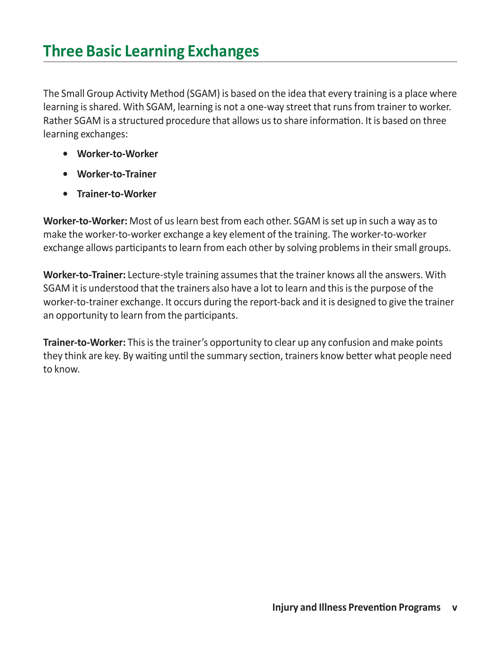The Small Group Activity Method (SGAM) is based on the idea that every training is a place where learning is shared. With SGAM, learning is not a one-way street that runs from trainer to worker. Rather SGAM is a structured procedure that allows us to share information. It is based on three learning exchanges:

- **• Worker-to-Worker**
- **• Worker-to-Trainer**
- **• Trainer-to-Worker**

**Worker-to-Worker:** Most of us learn best from each other. SGAM is set up in such a way as to make the worker-to-worker exchange a key element of the training. The worker-to-worker exchange allows participants to learn from each other by solving problems in their small groups.

**Worker-to-Trainer:** Lecture-style training assumes that the trainer knows all the answers. With SGAM it is understood that the trainers also have a lot to learn and this is the purpose of the worker-to-trainer exchange. It occurs during the report-back and it is designed to give the trainer an opportunity to learn from the participants.

**Trainer-to-Worker:** This is the trainer's opportunity to clear up any confusion and make points they think are key. By waiting until the summary section, trainers know better what people need to know.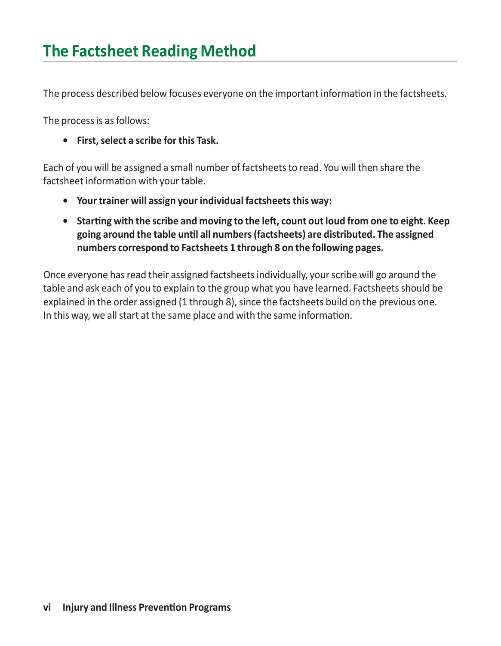## **The Factsheet Reading Method**

The process described below focuses everyone on the important information in the factsheets.

The process is as follows:

**• First,select a scribe for this Task.**

Each of you will be assigned a small number of factsheets to read. You will then share the factsheet information with your table.

- **• Your trainer will assign your individual factsheetsthis way:**
- **• Starting with the scribe and moving to the left, count out loud from one to eight. Keep going around the table until all numbers(factsheets) are distributed. The assigned numbers correspond to Factsheets 1 through 8 on the following pages.**

Once everyone has read their assigned factsheets individually, your scribe will go around the table and ask each of you to explain to the group what you have learned. Factsheets should be explained in the order assigned (1 through 8), since the factsheets build on the previous one. In this way, we all start at the same place and with the same information.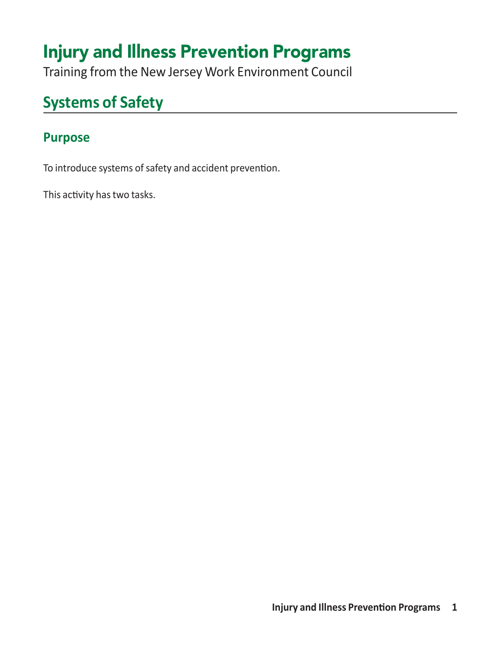# Injury and Illness Prevention Programs

Training from the New Jersey Work Environment Council

# **Systems of Safety**

#### **Purpose**

To introduce systems of safety and accident prevention.

This activity has two tasks.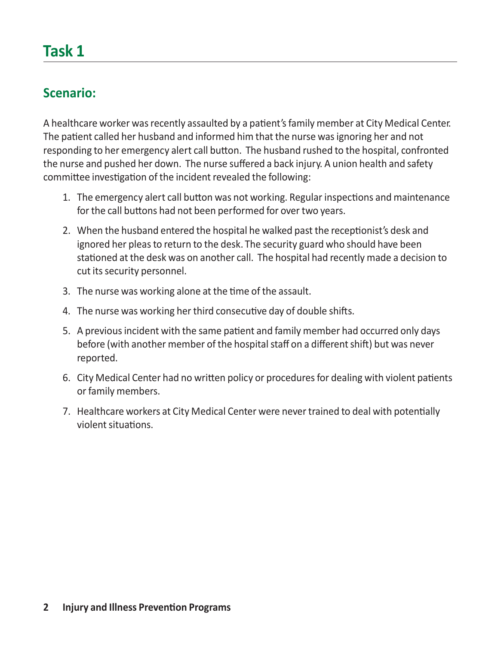#### **Scenario:**

A healthcare worker was recently assaulted by a patient's family member at City Medical Center. The patient called her husband and informed him that the nurse was ignoring her and not responding to her emergency alert call button. The husband rushed to the hospital, confronted the nurse and pushed her down. The nurse suffered a back injury. A union health and safety committee investigation of the incident revealed the following:

- 1. The emergency alert call button was not working. Regular inspections and maintenance for the call buttons had not been performed for over two years.
- 2. When the husband entered the hospital he walked past the receptionist's desk and ignored her pleas to return to the desk. The security guard who should have been stationed at the desk was on another call. The hospital had recently made a decision to cut its security personnel.
- 3. The nurse was working alone at the time of the assault.
- 4. The nurse was working her third consecutive day of double shifts.
- 5. A previous incident with the same patient and family member had occurred only days before (with another member of the hospital staff on a different shift) but was never reported.
- 6. City Medical Center had no written policy or procedures for dealing with violent patients or family members.
- 7. Healthcare workers at City Medical Center were never trained to deal with potentially violent situations.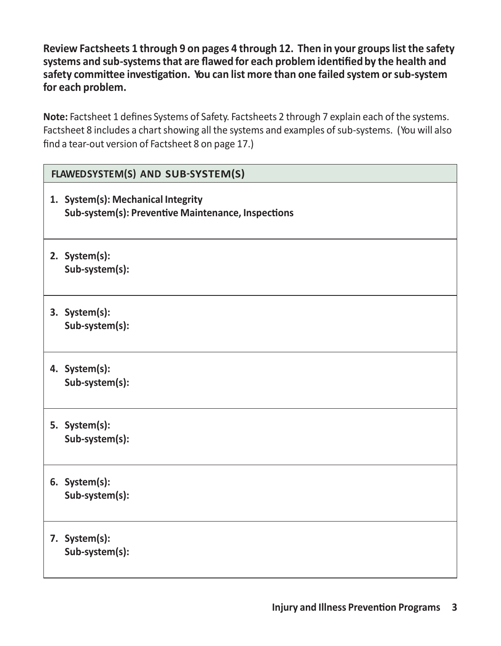**Review Factsheets 1 through 9 on pages 4 through 12. Then in your groupslist the safety systems and sub-systemsthat are flawed for each problem identified by the health and safety committee investigation. You can list more than one failed system orsub-system for each problem.**

**Note:** Factsheet 1 defines Systems of Safety. Factsheets 2 through 7 explain each of the systems. Factsheet 8 includes a chart showing all the systems and examples of sub-systems. (You will also find a tear-out version of Factsheet 8 on page 17.)

| FLAWEDSYSTEM(S) AND SUB-SYSTEM(S)                                                        |
|------------------------------------------------------------------------------------------|
| 1. System(s): Mechanical Integrity<br>Sub-system(s): Preventive Maintenance, Inspections |
| 2. System(s):<br>Sub-system(s):                                                          |
| 3. System(s):<br>Sub-system(s):                                                          |
| 4. System(s):<br>Sub-system(s):                                                          |
| 5. System(s):<br>Sub-system(s):                                                          |
| 6. System(s):<br>Sub-system(s):                                                          |
| 7. System(s):<br>Sub-system(s):                                                          |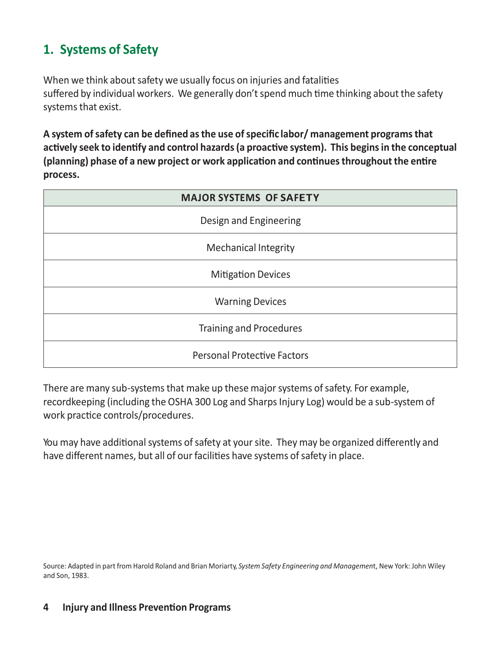#### **1. Systems of Safety**

When we think about safety we usually focus on injuries and fatalities suffered by individual workers. We generally don't spend much time thinking about the safety systems that exist.

**A system ofsafety can be defined asthe use ofspecific labor/ management programsthat actively seek to identify and control hazards(a proactive system). This beginsin the conceptual (planning) phase of a new project or work application and continuesthroughout the entire process.**

| <b>MAJOR SYSTEMS OF SAFETY</b>     |  |  |  |  |  |
|------------------------------------|--|--|--|--|--|
| Design and Engineering             |  |  |  |  |  |
| <b>Mechanical Integrity</b>        |  |  |  |  |  |
| <b>Mitigation Devices</b>          |  |  |  |  |  |
| <b>Warning Devices</b>             |  |  |  |  |  |
| <b>Training and Procedures</b>     |  |  |  |  |  |
| <b>Personal Protective Factors</b> |  |  |  |  |  |

There are many sub-systems that make up these major systems of safety. For example, recordkeeping (including the OSHA 300 Log and Sharps Injury Log) would be a sub-system of work practice controls/procedures.

You may have additional systems of safety at your site. They may be organized differently and have different names, but all of our facilities have systems of safety in place.

Source: Adapted in part from Harold Roland and Brian Moriarty, *System Safety Engineering and Managemen*t, New York: John Wiley and Son, 1983.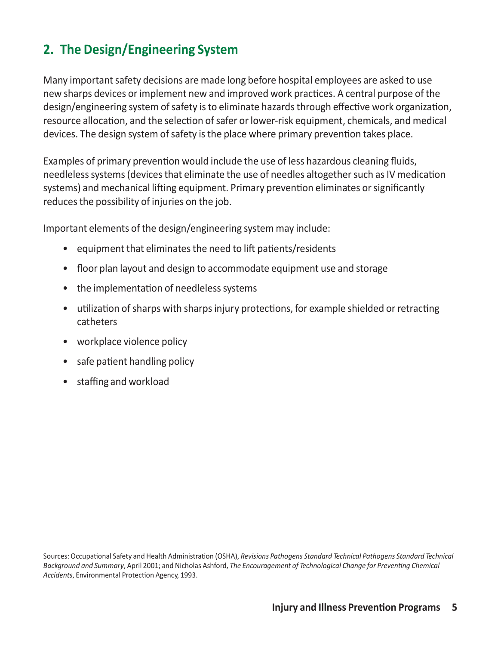## **2. The Design/Engineering System**

Many important safety decisions are made long before hospital employees are asked to use new sharps devices or implement new and improved work practices. A central purpose of the design/engineering system of safety is to eliminate hazards through effective work organization, resource allocation, and the selection of safer or lower-risk equipment, chemicals, and medical devices. The design system of safety is the place where primary prevention takes place.

Examples of primary prevention would include the use of less hazardous cleaning fluids, needleless systems (devices that eliminate the use of needles altogether such as IV medication systems) and mechanical lifting equipment. Primary prevention eliminates or significantly reduces the possibility of injuries on the job.

Important elements of the design/engineering system may include:

- equipment that eliminates the need to lift patients/residents
- floor plan layout and design to accommodate equipment use and storage
- the implementation of needleless systems
- utilization of sharps with sharps injury protections, for example shielded or retracting catheters
- workplace violence policy
- safe patient handling policy
- staffing and workload

Sources: Occupational Safety and Health Administration (OSHA), *Revisions Pathogens Standard Technical Pathogens Standard Technical Background and Summary*, April 2001; and Nicholas Ashford, *The Encouragement of Technological Change for Preventing Chemical Accidents*, Environmental Protection Agency, 1993.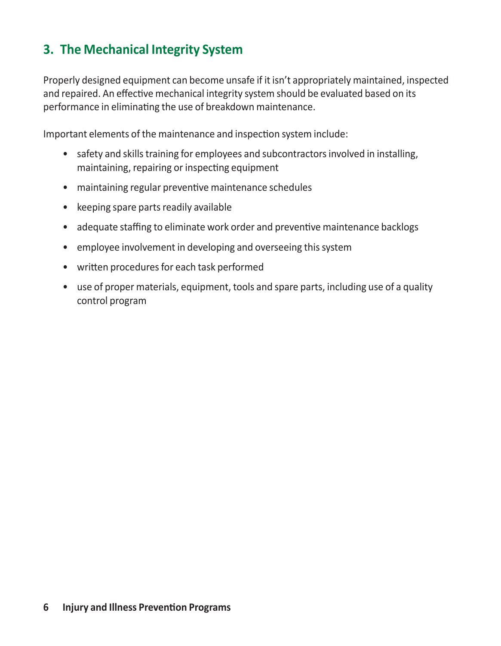## **3. The Mechanical Integrity System**

Properly designed equipment can become unsafe if it isn't appropriately maintained, inspected and repaired. An effective mechanical integrity system should be evaluated based on its performance in eliminating the use of breakdown maintenance.

Important elements of the maintenance and inspection system include:

- safety and skills training for employees and subcontractors involved in installing, maintaining, repairing or inspecting equipment
- maintaining regular preventive maintenance schedules
- keeping spare parts readily available
- adequate staffing to eliminate work order and preventive maintenance backlogs
- employee involvement in developing and overseeing this system
- written procedures for each task performed
- use of proper materials, equipment, tools and spare parts, including use of a quality control program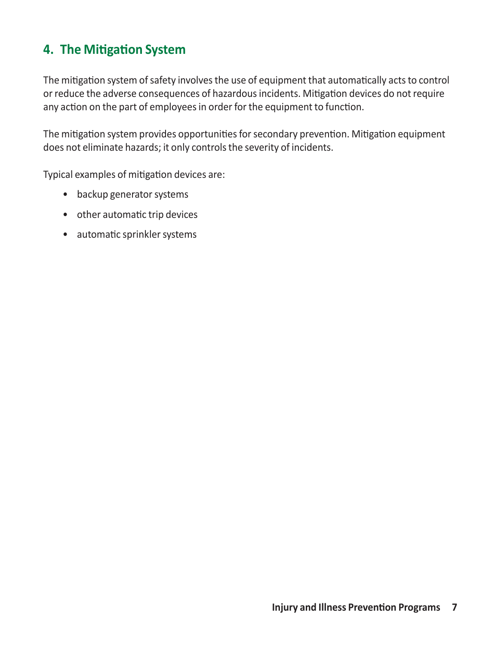#### **4. The Mitigation System**

The mitigation system of safety involves the use of equipment that automatically acts to control or reduce the adverse consequences of hazardous incidents. Mitigation devices do not require any action on the part of employees in order for the equipment to function.

The mitigation system provides opportunities for secondary prevention. Mitigation equipment does not eliminate hazards; it only controls the severity of incidents.

Typical examples of mitigation devices are:

- backup generator systems
- other automatic trip devices
- automatic sprinkler systems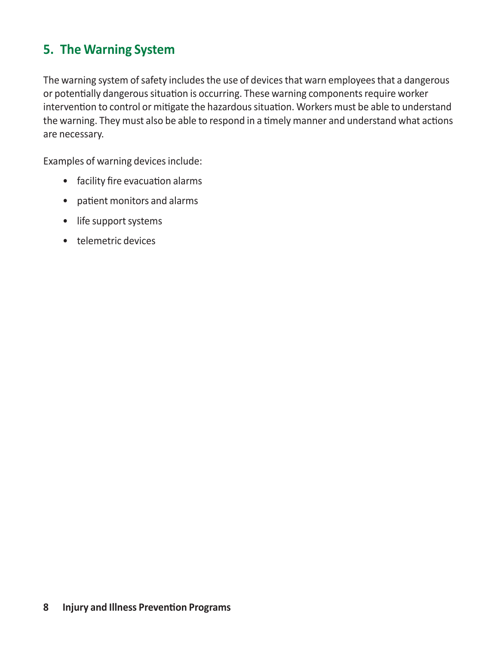#### **5. The Warning System**

The warning system of safety includes the use of devices that warn employees that a dangerous or potentially dangerous situation is occurring. These warning components require worker intervention to control or mitigate the hazardous situation. Workers must be able to understand the warning. They must also be able to respond in a timely manner and understand what actions are necessary.

Examples of warning devices include:

- facility fire evacuation alarms
- patient monitors and alarms
- life support systems
- telemetric devices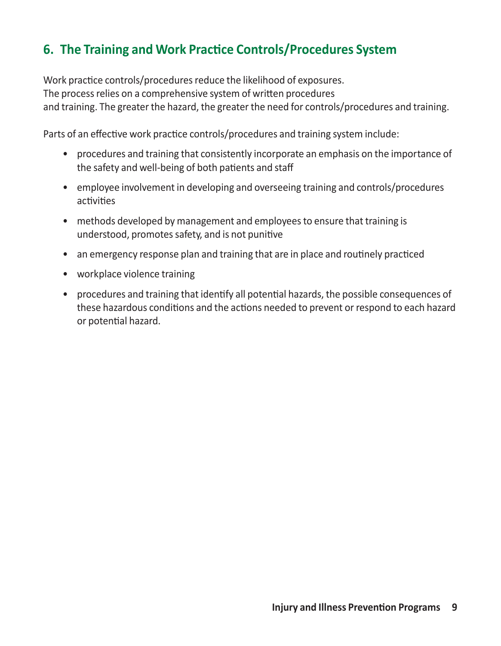### **6. The Training and Work Practice Controls/Procedures System**

Work practice controls/procedures reduce the likelihood of exposures. The process relies on a comprehensive system of written procedures and training. The greater the hazard, the greater the need for controls/procedures and training.

Parts of an effective work practice controls/procedures and training system include:

- procedures and training that consistently incorporate an emphasis on the importance of the safety and well-being of both patients and staff
- employee involvement in developing and overseeing training and controls/procedures activities
- methods developed by management and employees to ensure that training is understood, promotes safety, and is not punitive
- an emergency response plan and training that are in place and routinely practiced
- workplace violence training
- procedures and training that identify all potential hazards, the possible consequences of these hazardous conditions and the actions needed to prevent or respond to each hazard or potential hazard.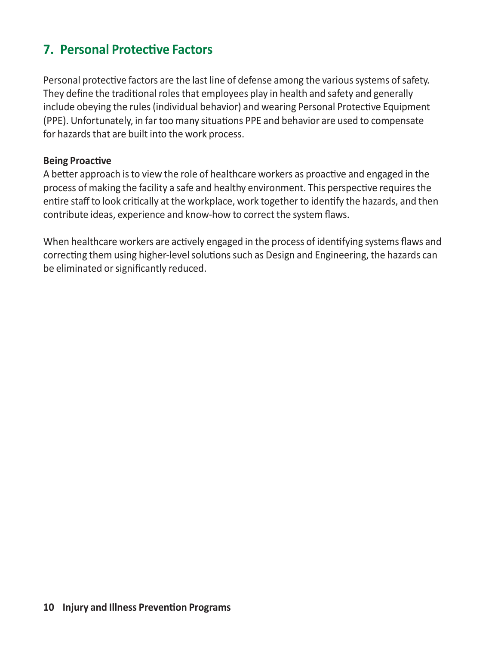#### **7. Personal Protective Factors**

Personal protective factors are the last line of defense among the various systems of safety. They define the traditional roles that employees play in health and safety and generally include obeying the rules (individual behavior) and wearing Personal Protective Equipment (PPE). Unfortunately, in far too many situations PPE and behavior are used to compensate for hazards that are built into the work process.

#### **Being Proactive**

A better approach is to view the role of healthcare workers as proactive and engaged in the process of making the facility a safe and healthy environment. This perspective requires the entire staff to look critically at the workplace, work together to identify the hazards, and then contribute ideas, experience and know-how to correct the system flaws.

When healthcare workers are actively engaged in the process of identifying systems flaws and correcting them using higher-level solutions such as Design and Engineering, the hazards can be eliminated or significantly reduced.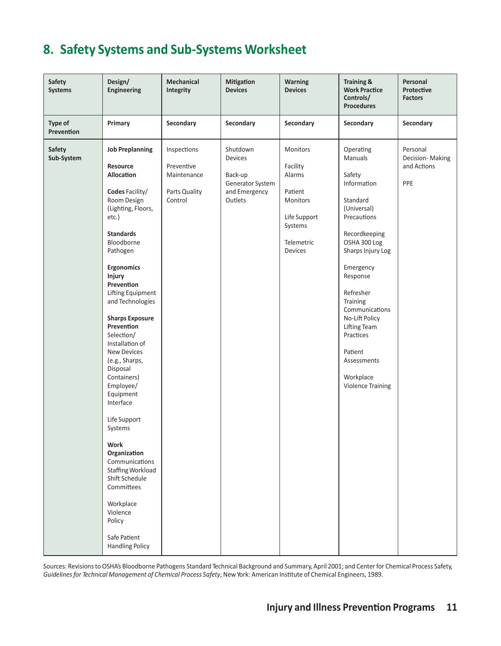#### **8. Safety Systems and Sub-Systems Worksheet**

| <b>Safety</b><br>Systems    | Design/<br><b>Engineering</b>                                                                                                                                                                                                                                                                                                                                                                                                                                                                                                                                                                                                                   | <b>Mechanical</b><br>Integrity                                       | <b>Mitigation</b><br><b>Devices</b>                                                   | <b>Warning</b><br><b>Devices</b>                                                                          | <b>Training &amp;</b><br><b>Work Practice</b><br>Controls/<br><b>Procedures</b>                                                                                                                                                                                                                                                     | Personal<br>Protective<br><b>Factors</b>          |
|-----------------------------|-------------------------------------------------------------------------------------------------------------------------------------------------------------------------------------------------------------------------------------------------------------------------------------------------------------------------------------------------------------------------------------------------------------------------------------------------------------------------------------------------------------------------------------------------------------------------------------------------------------------------------------------------|----------------------------------------------------------------------|---------------------------------------------------------------------------------------|-----------------------------------------------------------------------------------------------------------|-------------------------------------------------------------------------------------------------------------------------------------------------------------------------------------------------------------------------------------------------------------------------------------------------------------------------------------|---------------------------------------------------|
| Type of<br>Prevention       | Primary                                                                                                                                                                                                                                                                                                                                                                                                                                                                                                                                                                                                                                         | Secondary                                                            | Secondary                                                                             | Secondary                                                                                                 | Secondary                                                                                                                                                                                                                                                                                                                           | Secondary                                         |
| <b>Safety</b><br>Sub-System | <b>Job Preplanning</b><br>Resource<br>Allocation<br>Codes Facility/<br>Room Design<br>(Lighting, Floors,<br>etc.)<br><b>Standards</b><br>Bloodborne<br>Pathogen<br>Ergonomics<br><b>Injury</b><br>Prevention<br>Lifting Equipment<br>and Technologies<br><b>Sharps Exposure</b><br>Prevention<br>Selection/<br>Installation of<br><b>New Devices</b><br>(e.g., Sharps,<br>Disposal<br>Containers)<br>Employee/<br>Equipment<br>Interface<br>Life Support<br>Systems<br>Work<br>Organization<br>Communications<br>Staffing Workload<br>Shift Schedule<br>Committees<br>Workplace<br>Violence<br>Policy<br>Safe Patient<br><b>Handling Policy</b> | Inspections<br>Preventive<br>Maintenance<br>Parts Quality<br>Control | Shutdown<br><b>Devices</b><br>Back-up<br>Generator System<br>and Emergency<br>Outlets | Monitors<br>Facility<br>Alarms<br>Patient<br>Monitors<br>Life Support<br>Systems<br>Telemetric<br>Devices | Operating<br>Manuals<br>Safety<br>Information<br>Standard<br>(Universal)<br>Precautions<br>Recordkeeping<br>OSHA 300 Log<br>Sharps Injury Log<br>Emergency<br>Response<br>Refresher<br>Training<br>Communications<br>No-Lift Policy<br>Lifting Team<br>Practices<br>Patient<br>Assessments<br>Workplace<br><b>Violence Training</b> | Personal<br>Decision-Making<br>and Actions<br>PPE |

Sources: Revisions to OSHA's Bloodborne Pathogens Standard Technical Background and Summary, April 2001; and Center for Chemical Process Safety, *Guidelines for Technical Management of Chemical Process Safety*, New York: American Institute of Chemical Engineers, 1989.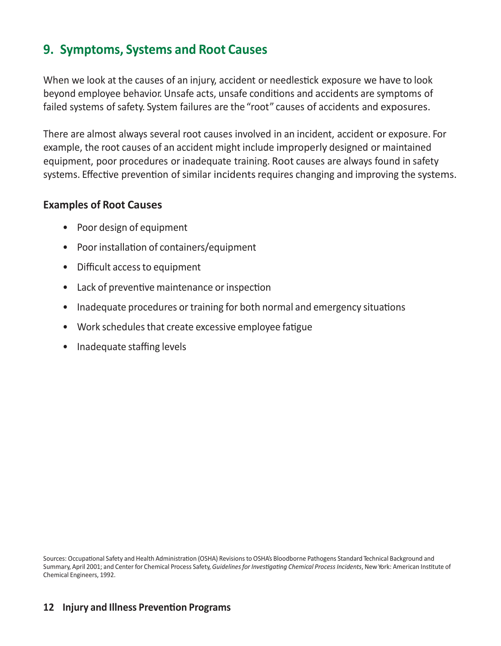#### **9. Symptoms, Systems and Root Causes**

When we look at the causes of an injury, accident or needlestick exposure we have to look beyond employee behavior. Unsafe acts, unsafe conditions and accidents are symptoms of failed systems of safety. System failures are the "root" causes of accidents and exposures.

There are almost always several root causes involved in an incident, accident or exposure. For example, the root causes of an accident might include improperly designed or maintained equipment, poor procedures or inadequate training. Root causes are always found in safety systems. Effective prevention of similar incidents requires changing and improving the systems.

#### **Examples of Root Causes**

- Poor design of equipment
- Poor installation of containers/equipment
- Difficult access to equipment
- Lack of preventive maintenance or inspection
- Inadequate procedures or training for both normal and emergency situations
- Work schedules that create excessive employee fatigue
- Inadequate staffing levels

Sources: Occupational Safety and Health Administration (OSHA) Revisions to OSHA's Bloodborne Pathogens Standard Technical Background and Summary, April 2001; and Center for Chemical Process Safety, *Guidelines for Investigating Chemical Process Incidents*, New York: American Institute of Chemical Engineers, 1992.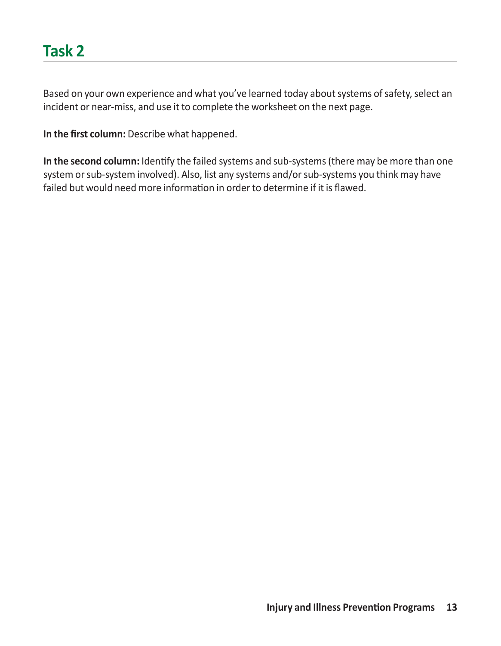Based on your own experience and what you've learned today about systems of safety, select an incident or near-miss, and use it to complete the worksheet on the next page.

**In the first column:** Describe what happened.

**In the second column:** Identify the failed systems and sub-systems (there may be more than one system or sub-system involved). Also, list any systems and/or sub-systems you think may have failed but would need more information in order to determine if it is flawed.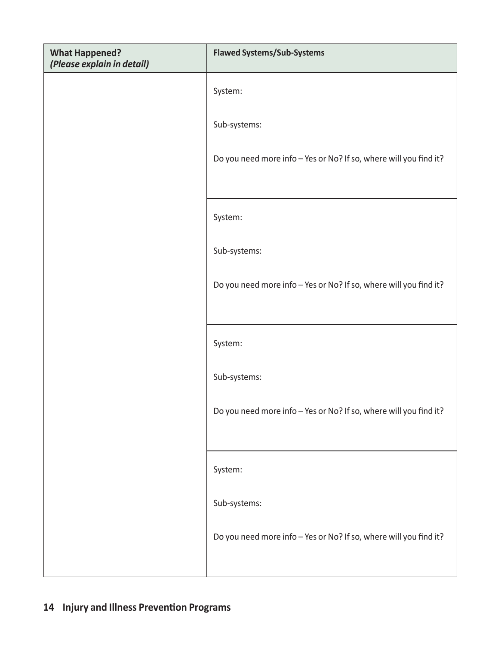| <b>What Happened?</b><br>(Please explain in detail) | <b>Flawed Systems/Sub-Systems</b>                                 |
|-----------------------------------------------------|-------------------------------------------------------------------|
|                                                     | System:                                                           |
|                                                     | Sub-systems:                                                      |
|                                                     | Do you need more info - Yes or No? If so, where will you find it? |
|                                                     |                                                                   |
|                                                     | System:                                                           |
|                                                     | Sub-systems:                                                      |
|                                                     | Do you need more info - Yes or No? If so, where will you find it? |
|                                                     |                                                                   |
|                                                     | System:                                                           |
|                                                     | Sub-systems:                                                      |
|                                                     | Do you need more info - Yes or No? If so, where will you find it? |
|                                                     |                                                                   |
|                                                     | System:                                                           |
|                                                     | Sub-systems:                                                      |
|                                                     | Do you need more info - Yes or No? If so, where will you find it? |
|                                                     |                                                                   |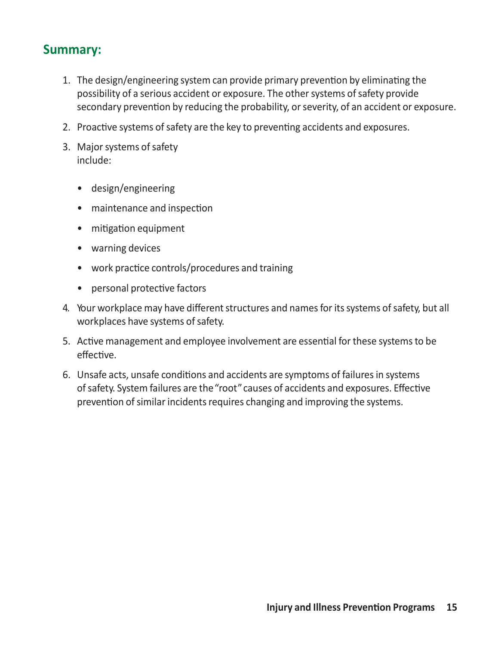#### **Summary:**

- 1. The design/engineering system can provide primary prevention by eliminating the possibility of a serious accident or exposure. The other systems of safety provide secondary prevention by reducing the probability, or severity, of an accident or exposure.
- 2. Proactive systems of safety are the key to preventing accidents and exposures.
- 3. Major systems of safety include:
	- design/engineering
	- maintenance and inspection
	- mitigation equipment
	- warning devices
	- work practice controls/procedures and training
	- personal protective factors
- 4. Your workplace may have different structures and names for its systems of safety, but all workplaces have systems of safety.
- 5. Active management and employee involvement are essential for these systems to be effective.
- 6. Unsafe acts, unsafe conditions and accidents are symptoms of failures in systems of safety. System failures are the "root" causes of accidents and exposures. Effective prevention of similar incidents requires changing and improving the systems.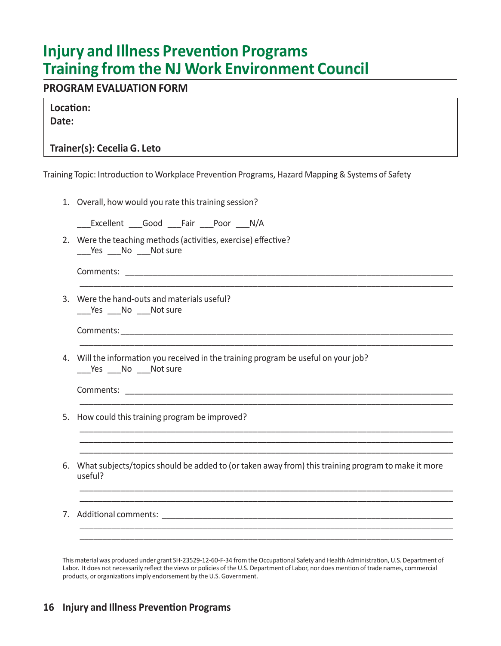## **Injury and Illness Prevention Programs Training from the NJ Work Environment Council**

#### **PROGRAM EVALUATION FORM**

**Location: Date:**

#### **Trainer(s): Cecelia G. Leto**

Training Topic: Introduction to Workplace Prevention Programs, Hazard Mapping & Systems of Safety

1. Overall, how would you rate this training session?

Excellent Good Fair Poor N/A

2. Were the teaching methods (activities, exercise) effective? \_\_\_\_Yes \_\_\_\_No \_\_\_\_Not sure

Comments: which is a set of the set of the set of the set of the set of the set of the set of the set of the set of the set of the set of the set of the set of the set of the set of the set of the set of the set of the set

3. Were the hand-outs and materials useful? \_\_\_\_Yes \_\_\_\_No \_\_\_\_Not sure

Comments:\_\_\_\_\_\_\_\_\_\_\_\_\_\_\_\_\_\_\_\_\_\_\_\_\_\_\_\_\_\_\_\_\_\_\_\_\_\_\_\_\_\_\_\_\_\_\_\_\_\_\_\_\_\_\_\_\_\_\_\_\_\_\_\_\_\_\_\_\_\_\_\_\_

4. Will the information you received in the training program be useful on your job? Yes No Not sure

Comments: \_\_\_\_\_\_\_\_\_\_\_\_\_\_\_\_\_\_\_\_\_\_\_\_\_\_\_\_\_\_\_\_\_\_\_\_\_\_\_\_\_\_\_\_\_\_\_\_\_\_\_\_\_\_\_\_\_\_\_\_\_\_\_\_\_\_\_\_\_\_\_\_

- 5. How could this training program be improved?
- 6. What subjects/topics should be added to (or taken away from) this training program to make it more useful?

\_\_\_\_\_\_\_\_\_\_\_\_\_\_\_\_\_\_\_\_\_\_\_\_\_\_\_\_\_\_\_\_\_\_\_\_\_\_\_\_\_\_\_\_\_\_\_\_\_\_\_\_\_\_\_\_\_\_\_\_\_\_\_\_\_\_\_\_\_\_\_\_\_\_\_\_\_\_\_\_\_\_

\_\_\_\_\_\_\_\_\_\_\_\_\_\_\_\_\_\_\_\_\_\_\_\_\_\_\_\_\_\_\_\_\_\_\_\_\_\_\_\_\_\_\_\_\_\_\_\_\_\_\_\_\_\_\_\_\_\_\_\_\_\_\_\_\_\_\_\_\_\_\_\_\_\_\_\_\_\_\_\_\_\_

\_\_\_\_\_\_\_\_\_\_\_\_\_\_\_\_\_\_\_\_\_\_\_\_\_\_\_\_\_\_\_\_\_\_\_\_\_\_\_\_\_\_\_\_\_\_\_\_\_\_\_\_\_\_\_\_\_\_\_\_\_\_\_\_\_\_\_\_\_\_\_\_\_\_\_\_\_\_\_\_\_\_

\_\_\_\_\_\_\_\_\_\_\_\_\_\_\_\_\_\_\_\_\_\_\_\_\_\_\_\_\_\_\_\_\_\_\_\_\_\_\_\_\_\_\_\_\_\_\_\_\_\_\_\_\_\_\_\_\_\_\_\_\_\_\_\_\_\_\_\_\_\_\_\_\_\_\_\_\_\_\_\_\_\_ \_\_\_\_\_\_\_\_\_\_\_\_\_\_\_\_\_\_\_\_\_\_\_\_\_\_\_\_\_\_\_\_\_\_\_\_\_\_\_\_\_\_\_\_\_\_\_\_\_\_\_\_\_\_\_\_\_\_\_\_\_\_\_\_\_\_\_\_\_\_\_\_\_\_\_\_\_\_\_\_\_\_ \_\_\_\_\_\_\_\_\_\_\_\_\_\_\_\_\_\_\_\_\_\_\_\_\_\_\_\_\_\_\_\_\_\_\_\_\_\_\_\_\_\_\_\_\_\_\_\_\_\_\_\_\_\_\_\_\_\_\_\_\_\_\_\_\_\_\_\_\_\_\_\_\_\_\_\_\_\_\_\_\_\_

\_\_\_\_\_\_\_\_\_\_\_\_\_\_\_\_\_\_\_\_\_\_\_\_\_\_\_\_\_\_\_\_\_\_\_\_\_\_\_\_\_\_\_\_\_\_\_\_\_\_\_\_\_\_\_\_\_\_\_\_\_\_\_\_\_\_\_\_\_\_\_\_\_\_\_\_\_\_\_\_\_\_ \_\_\_\_\_\_\_\_\_\_\_\_\_\_\_\_\_\_\_\_\_\_\_\_\_\_\_\_\_\_\_\_\_\_\_\_\_\_\_\_\_\_\_\_\_\_\_\_\_\_\_\_\_\_\_\_\_\_\_\_\_\_\_\_\_\_\_\_\_\_\_\_\_\_\_\_\_\_\_\_\_\_

\_\_\_\_\_\_\_\_\_\_\_\_\_\_\_\_\_\_\_\_\_\_\_\_\_\_\_\_\_\_\_\_\_\_\_\_\_\_\_\_\_\_\_\_\_\_\_\_\_\_\_\_\_\_\_\_\_\_\_\_\_\_\_\_\_\_\_\_\_\_\_\_\_\_\_\_\_\_\_\_\_\_ \_\_\_\_\_\_\_\_\_\_\_\_\_\_\_\_\_\_\_\_\_\_\_\_\_\_\_\_\_\_\_\_\_\_\_\_\_\_\_\_\_\_\_\_\_\_\_\_\_\_\_\_\_\_\_\_\_\_\_\_\_\_\_\_\_\_\_\_\_\_\_\_\_\_\_\_\_\_\_\_\_\_

7. Additional comments:  $\blacksquare$ 

This material was produced under grant SH-23529-12-60-F-34 from the Occupational Safety and Health Administration, U.S. Department of Labor. It does not necessarily reflect the views or policies of the U.S. Department of Labor, nor does mention of trade names, commercial products, or organizations imply endorsement by the U.S. Government.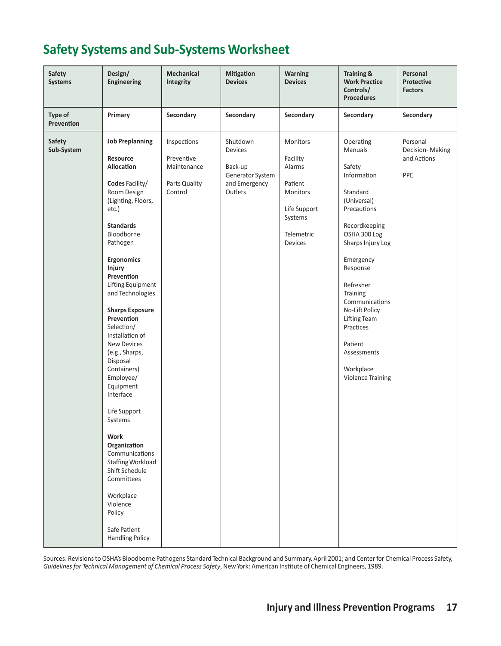## **Safety Systems and Sub-Systems Worksheet**

| <b>Safety</b><br><b>Systems</b> | Design/<br><b>Engineering</b>                                                                                                                                                                                                                                                                                                                                                                                                                                                                                                                                                                                                                                 | <b>Mechanical</b><br>Integrity                                       | <b>Mitigation</b><br><b>Devices</b>                                            | <b>Warning</b><br><b>Devices</b>                                                                          | <b>Training &amp;</b><br><b>Work Practice</b><br>Controls/<br><b>Procedures</b>                                                                                                                                                                                                                                                            | Personal<br>Protective<br><b>Factors</b>          |
|---------------------------------|---------------------------------------------------------------------------------------------------------------------------------------------------------------------------------------------------------------------------------------------------------------------------------------------------------------------------------------------------------------------------------------------------------------------------------------------------------------------------------------------------------------------------------------------------------------------------------------------------------------------------------------------------------------|----------------------------------------------------------------------|--------------------------------------------------------------------------------|-----------------------------------------------------------------------------------------------------------|--------------------------------------------------------------------------------------------------------------------------------------------------------------------------------------------------------------------------------------------------------------------------------------------------------------------------------------------|---------------------------------------------------|
| Type of<br>Prevention           | Primary                                                                                                                                                                                                                                                                                                                                                                                                                                                                                                                                                                                                                                                       | Secondary                                                            | Secondary                                                                      | Secondary                                                                                                 | Secondary                                                                                                                                                                                                                                                                                                                                  | Secondary                                         |
| <b>Safety</b><br>Sub-System     | <b>Job Preplanning</b><br><b>Resource</b><br>Allocation<br>Codes Facility/<br>Room Design<br>(Lighting, Floors,<br>etc.)<br><b>Standards</b><br>Bloodborne<br>Pathogen<br>Ergonomics<br><b>Injury</b><br>Prevention<br>Lifting Equipment<br>and Technologies<br><b>Sharps Exposure</b><br>Prevention<br>Selection/<br>Installation of<br><b>New Devices</b><br>(e.g., Sharps,<br>Disposal<br>Containers)<br>Employee/<br>Equipment<br>Interface<br>Life Support<br>Systems<br><b>Work</b><br>Organization<br>Communications<br>Staffing Workload<br>Shift Schedule<br>Committees<br>Workplace<br>Violence<br>Policy<br>Safe Patient<br><b>Handling Policy</b> | Inspections<br>Preventive<br>Maintenance<br>Parts Quality<br>Control | Shutdown<br>Devices<br>Back-up<br>Generator System<br>and Emergency<br>Outlets | Monitors<br>Facility<br>Alarms<br>Patient<br>Monitors<br>Life Support<br>Systems<br>Telemetric<br>Devices | Operating<br><b>Manuals</b><br>Safety<br>Information<br>Standard<br>(Universal)<br>Precautions<br>Recordkeeping<br>OSHA 300 Log<br>Sharps Injury Log<br>Emergency<br>Response<br>Refresher<br>Training<br>Communications<br>No-Lift Policy<br>Lifting Team<br>Practices<br>Patient<br>Assessments<br>Workplace<br><b>Violence Training</b> | Personal<br>Decision-Making<br>and Actions<br>PPE |

Sources: Revisions to OSHA's Bloodborne Pathogens Standard Technical Background and Summary, April 2001; and Center for Chemical Process Safety, *Guidelines for Technical Management of Chemical Process Safety*, New York: American Institute of Chemical Engineers, 1989.